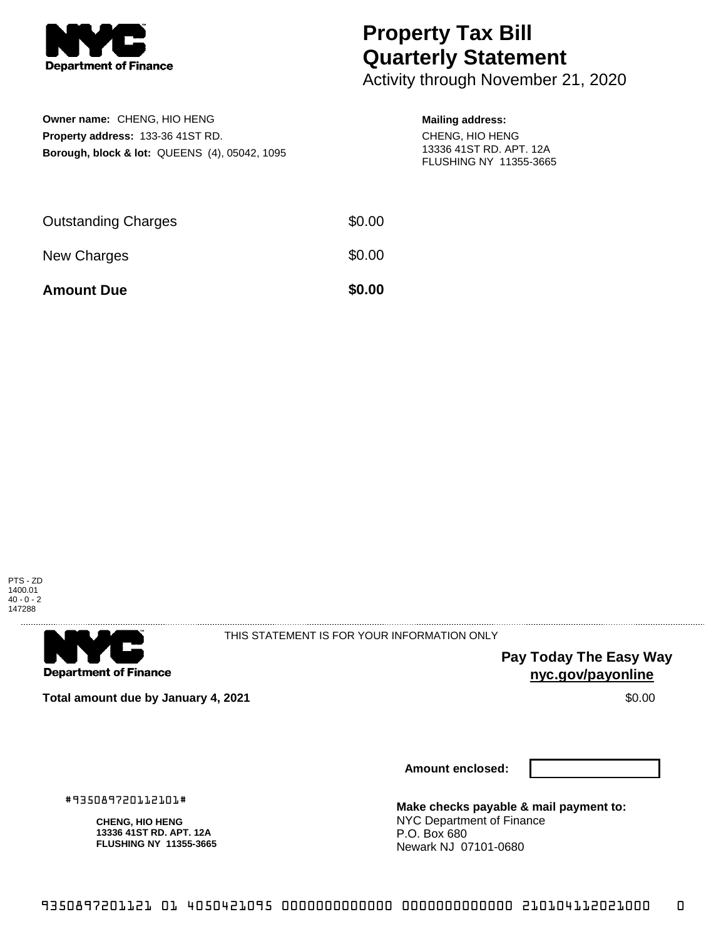

## **Property Tax Bill Quarterly Statement**

Activity through November 21, 2020

| Owner name: CHENG, HIO HENG                              |
|----------------------------------------------------------|
| <b>Property address: 133-36 41ST RD.</b>                 |
| <b>Borough, block &amp; lot: QUEENS (4), 05042, 1095</b> |

## **Mailing address:**

CHENG, HIO HENG 13336 41ST RD. APT. 12A FLUSHING NY 11355-3665

| <b>Amount Due</b>          | \$0.00 |
|----------------------------|--------|
| New Charges                | \$0.00 |
| <b>Outstanding Charges</b> | \$0.00 |





THIS STATEMENT IS FOR YOUR INFORMATION ONLY

**Pay Today The Easy Way nyc.gov/payonline**

**Total amount due by January 4, 2021 \$0.00 \$0.00** 

**Amount enclosed:**

#935089720112101#

**CHENG, HIO HENG 13336 41ST RD. APT. 12A FLUSHING NY 11355-3665** **Make checks payable & mail payment to:** NYC Department of Finance P.O. Box 680 Newark NJ 07101-0680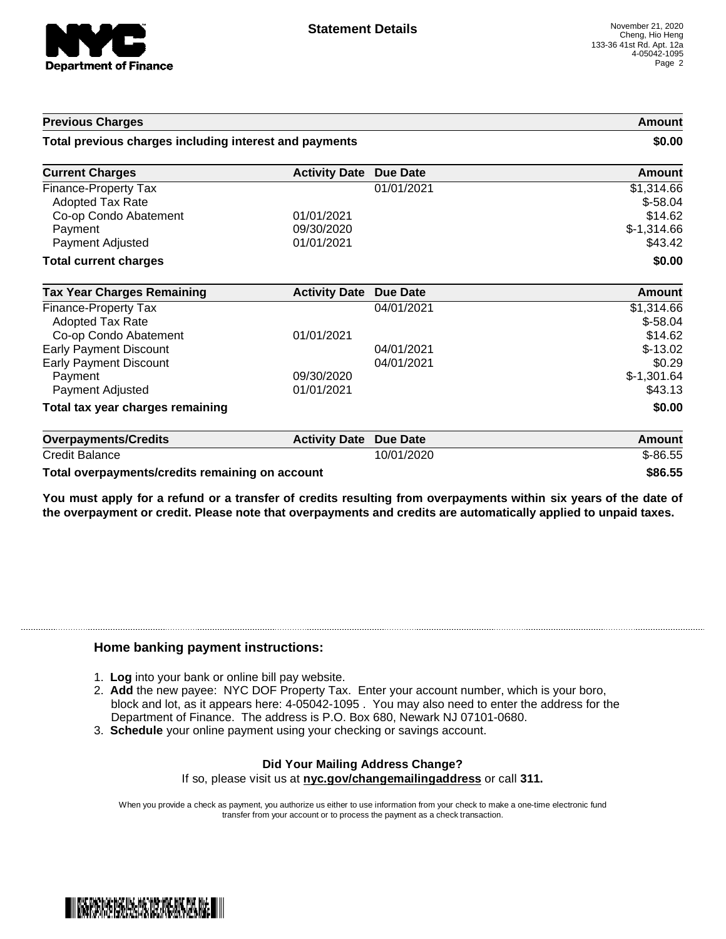

**Previous Charges Amount**

| Total previous charges including interest and payments |                      |                 | \$0.00        |
|--------------------------------------------------------|----------------------|-----------------|---------------|
| <b>Current Charges</b>                                 | <b>Activity Date</b> | <b>Due Date</b> | Amount        |
| Finance-Property Tax                                   |                      | 01/01/2021      | \$1,314.66    |
| <b>Adopted Tax Rate</b>                                |                      |                 | $$-58.04$     |
| Co-op Condo Abatement                                  | 01/01/2021           |                 | \$14.62       |
| Payment                                                | 09/30/2020           |                 | $$-1,314.66$  |
| Payment Adjusted                                       | 01/01/2021           |                 | \$43.42       |
| <b>Total current charges</b>                           |                      |                 | \$0.00        |
| <b>Tax Year Charges Remaining</b>                      | <b>Activity Date</b> | Due Date        | Amount        |
| Finance-Property Tax                                   |                      | 04/01/2021      | \$1,314.66    |
| <b>Adopted Tax Rate</b>                                |                      |                 | $$-58.04$     |
| Co-op Condo Abatement                                  | 01/01/2021           |                 | \$14.62       |
| <b>Early Payment Discount</b>                          |                      | 04/01/2021      | $$-13.02$     |
| <b>Early Payment Discount</b>                          |                      | 04/01/2021      | \$0.29        |
| Payment                                                | 09/30/2020           |                 | $$-1,301.64$  |
| Payment Adjusted                                       | 01/01/2021           |                 | \$43.13       |
| Total tax year charges remaining                       |                      |                 | \$0.00        |
| <b>Overpayments/Credits</b>                            | <b>Activity Date</b> | Due Date        | <b>Amount</b> |
| Credit Balance                                         |                      | 10/01/2020      | $$-86.55$     |
| Total overpayments/credits remaining on account        |                      |                 | \$86.55       |

You must apply for a refund or a transfer of credits resulting from overpayments within six years of the date of **the overpayment or credit. Please note that overpayments and credits are automatically applied to unpaid taxes.**

## **Home banking payment instructions:**

- 1. **Log** into your bank or online bill pay website.
- 2. **Add** the new payee: NYC DOF Property Tax. Enter your account number, which is your boro, block and lot, as it appears here: 4-05042-1095 . You may also need to enter the address for the Department of Finance. The address is P.O. Box 680, Newark NJ 07101-0680.
- 3. **Schedule** your online payment using your checking or savings account.

## **Did Your Mailing Address Change?** If so, please visit us at **nyc.gov/changemailingaddress** or call **311.**

When you provide a check as payment, you authorize us either to use information from your check to make a one-time electronic fund transfer from your account or to process the payment as a check transaction.